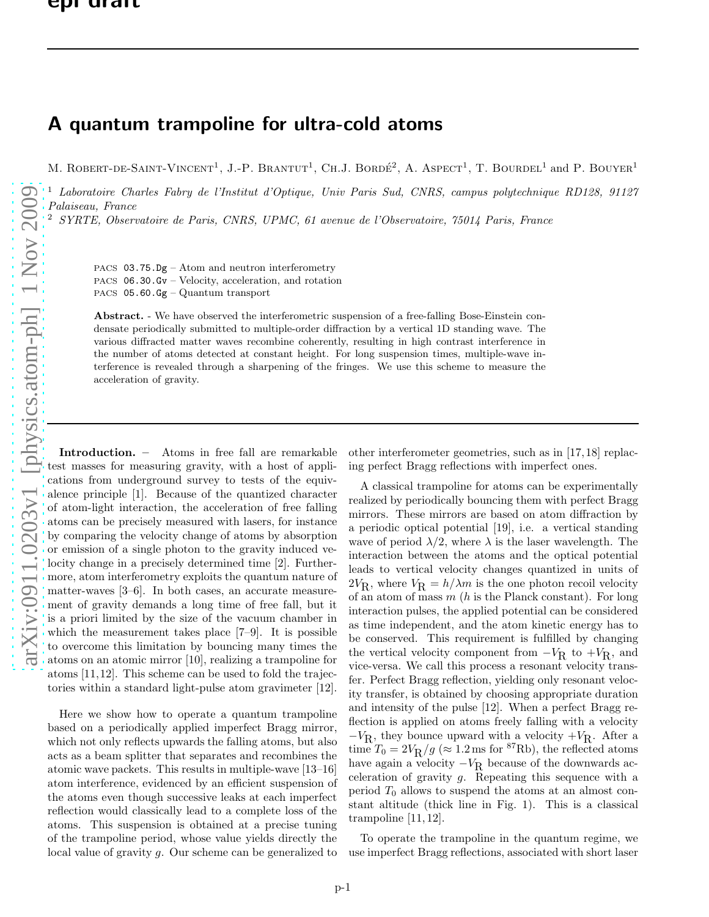## A quantum trampoline for ultra-cold atoms

M. ROBERT-DE-SAINT-VINCENT<sup>1</sup>, J.-P. BRANTUT<sup>1</sup>, CH.J. BORDÉ<sup>2</sup>, A. ASPECT<sup>1</sup>, T. BOURDEL<sup>1</sup> and P. BOUYER<sup>1</sup>

<sup>1</sup> Laboratoire Charles Fabry de l'Institut d'Optique, Univ Paris Sud, CNRS, campus polytechnique RD128, 91127 Palaiseau, France

<sup>2</sup> SYRTE, Observatoire de Paris, CNRS, UPMC, 61 avenue de l'Observatoire, 75014 Paris, France

PACS 03.75.Dg – Atom and neutron interferometry PACS 06.30.Gv – Velocity, acceleration, and rotation PACS 05.60.Gg – Quantum transport

Abstract. - We have observed the interferometric suspension of a free-falling Bose-Einstein condensate periodically submitted to multiple-order diffraction by a vertical 1D standing wave. The various diffracted matter waves recombine coherently, resulting in high contrast interference in the number of atoms detected at constant height. For long suspension times, multiple-wave interference is revealed through a sharpening of the fringes. We use this scheme to measure the acceleration of gravity.

Introduction. – Atoms in free fall are remarkable test masses for measuring gravity, with a host of applications from underground survey to tests of the equivalence principle [1]. Because of the quantized character of atom-light interaction, the acceleration of free falling atoms can be precisely measured with lasers, for instance by comparing the velocity change of atoms by absorption or emission of a single photon to the gravity induced velocity change in a precisely determined time [2]. Furthermore, atom interferometry exploits the quantum nature of matter-waves [3–6]. In both cases, an accurate measurement of gravity demands a long time of free fall, but it is a priori limited by the size of the vacuum chamber in which the measurement takes place [7–9]. It is possible to overcome this limitation by bouncing many times the atoms on an atomic mirror [10], realizing a trampoline for atoms [11,12]. This scheme can be used to fold the trajectories within a standard light-pulse atom gravimeter [12].

Here we show how to operate a quantum trampoline based on a periodically applied imperfect Bragg mirror, which not only reflects upwards the falling atoms, but also acts as a beam splitter that separates and recombines the atomic wave packets. This results in multiple-wave [13–16] atom interference, evidenced by an efficient suspension of the atoms even though successive leaks at each imperfect reflection would classically lead to a complete loss of the atoms. This suspension is obtained at a precise tuning of the trampoline period, whose value yields directly the local value of gravity g. Our scheme can be generalized to other interferometer geometries, such as in [17, 18] replacing perfect Bragg reflections with imperfect ones.

A classical trampoline for atoms can be experimentally realized by periodically bouncing them with perfect Bragg mirrors. These mirrors are based on atom diffraction by a periodic optical potential [19], i.e. a vertical standing wave of period  $\lambda/2$ , where  $\lambda$  is the laser wavelength. The interaction between the atoms and the optical potential leads to vertical velocity changes quantized in units of  $2V_{\rm R}$ , where  $V_{\rm R} = h/\lambda m$  is the one photon recoil velocity of an atom of mass  $m$  (h is the Planck constant). For long interaction pulses, the applied potential can be considered as time independent, and the atom kinetic energy has to be conserved. This requirement is fulfilled by changing the vertical velocity component from  $-V_{\rm R}$  to  $+V_{\rm R}$ , and vice-versa. We call this process a resonant velocity transfer. Perfect Bragg reflection, yielding only resonant velocity transfer, is obtained by choosing appropriate duration and intensity of the pulse [12]. When a perfect Bragg reflection is applied on atoms freely falling with a velocity  $-V_{\rm R}$ , they bounce upward with a velocity  $+V_{\rm R}$ . After a time  $T_0 = 2V_R/g \approx 1.2$  ms for <sup>87</sup>Rb), the reflected atoms have again a velocity  $-V_R$  because of the downwards acceleration of gravity  $g$ . Repeating this sequence with a period  $T_0$  allows to suspend the atoms at an almost constant altitude (thick line in Fig. 1). This is a classical trampoline [11, 12].

To operate the trampoline in the quantum regime, we use imperfect Bragg reflections, associated with short laser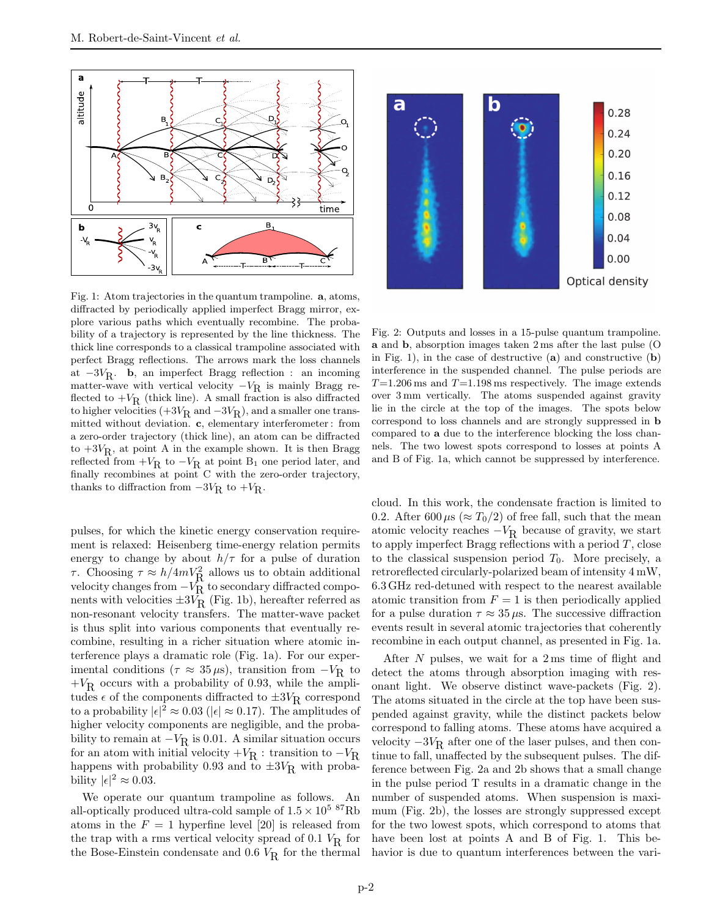

Fig. 1: Atom trajectories in the quantum trampoline. a, atoms, diffracted by periodically applied imperfect Bragg mirror, explore various paths which eventually recombine. The probability of a trajectory is represented by the line thickness. The thick line corresponds to a classical trampoline associated with perfect Bragg reflections. The arrows mark the loss channels at  $-3V_R$ . **b**, an imperfect Bragg reflection : an incoming matter-wave with vertical velocity  $-V_R$  is mainly Bragg reflected to  $+V_R$  (thick line). A small fraction is also diffracted to higher velocities  $(+3V_R \text{ and } -3V_R)$ , and a smaller one transmitted without deviation. c, elementary interferometer : from a zero-order trajectory (thick line), an atom can be diffracted to  $+3V_R$ , at point A in the example shown. It is then Bragg reflected from  $+V_R$  to  $-V_R$  at point B<sub>1</sub> one period later, and finally recombines at point C with the zero-order trajectory, thanks to diffraction from  $-3V_R$  to  $+V_R$ .

pulses, for which the kinetic energy conservation requirement is relaxed: Heisenberg time-energy relation permits energy to change by about  $h/\tau$  for a pulse of duration  $τ$ . Choosing  $τ ≈ h/4mV_R^2$  allows us to obtain additional velocity changes from  $-V_R$  to secondary diffracted components with velocities  $\pm 3V_R$  (Fig. 1b), hereafter referred as non-resonant velocity transfers. The matter-wave packet is thus split into various components that eventually recombine, resulting in a richer situation where atomic interference plays a dramatic role (Fig. 1a). For our experimental conditions ( $\tau \approx 35 \,\mu s$ ), transition from  $-V_R$  to  $+V_{\mbox{\footnotesize R}}$  occurs with a probability of 0.93, while the amplitudes  $\epsilon$  of the components diffracted to  $\pm 3V_R$  correspond to a probability  $|\epsilon|^2 \approx 0.03$  ( $|\epsilon| \approx 0.17$ ). The amplitudes of higher velocity components are negligible, and the probability to remain at  $-V_R$  is 0.01. A similar situation occurs for an atom with initial velocity  $+V_R$ : transition to  $-V_R$ happens with probability 0.93 and to  $\pm 3V_R$  with probability  $|\epsilon|^2 \approx 0.03$ .

We operate our quantum trampoline as follows. An all-optically produced ultra-cold sample of  $1.5 \times 10^{5}$   $^{87}$ Rb atoms in the  $F = 1$  hyperfine level [20] is released from the trap with a rms vertical velocity spread of 0.1  $V_R$  for the Bose-Einstein condensate and  $0.6$   $V_R$  for the thermal



Fig. 2: Outputs and losses in a 15-pulse quantum trampoline. a and b, absorption images taken 2 ms after the last pulse (O in Fig. 1), in the case of destructive  $(a)$  and constructive  $(b)$ interference in the suspended channel. The pulse periods are  $T=1.206 \,\mathrm{ms}$  and  $T=1.198 \,\mathrm{ms}$  respectively. The image extends over 3 mm vertically. The atoms suspended against gravity lie in the circle at the top of the images. The spots below correspond to loss channels and are strongly suppressed in b compared to a due to the interference blocking the loss channels. The two lowest spots correspond to losses at points A and B of Fig. 1a, which cannot be suppressed by interference.

cloud. In this work, the condensate fraction is limited to 0.2. After 600  $\mu$ s ( $\approx T_0/2$ ) of free fall, such that the mean atomic velocity reaches  $-V_R$  because of gravity, we start to apply imperfect Bragg reflections with a period  $T$ , close to the classical suspension period  $T_0$ . More precisely, a retroreflected circularly-polarized beam of intensity 4 mW, 6.3 GHz red-detuned with respect to the nearest available atomic transition from  $F = 1$  is then periodically applied for a pulse duration  $\tau \approx 35 \,\mu s$ . The successive diffraction events result in several atomic trajectories that coherently recombine in each output channel, as presented in Fig. 1a.

After N pulses, we wait for a 2 ms time of flight and detect the atoms through absorption imaging with resonant light. We observe distinct wave-packets (Fig. 2). The atoms situated in the circle at the top have been suspended against gravity, while the distinct packets below correspond to falling atoms. These atoms have acquired a velocity  $-3V_R$  after one of the laser pulses, and then continue to fall, unaffected by the subsequent pulses. The difference between Fig. 2a and 2b shows that a small change in the pulse period T results in a dramatic change in the number of suspended atoms. When suspension is maximum (Fig. 2b), the losses are strongly suppressed except for the two lowest spots, which correspond to atoms that have been lost at points A and B of Fig. 1. This behavior is due to quantum interferences between the vari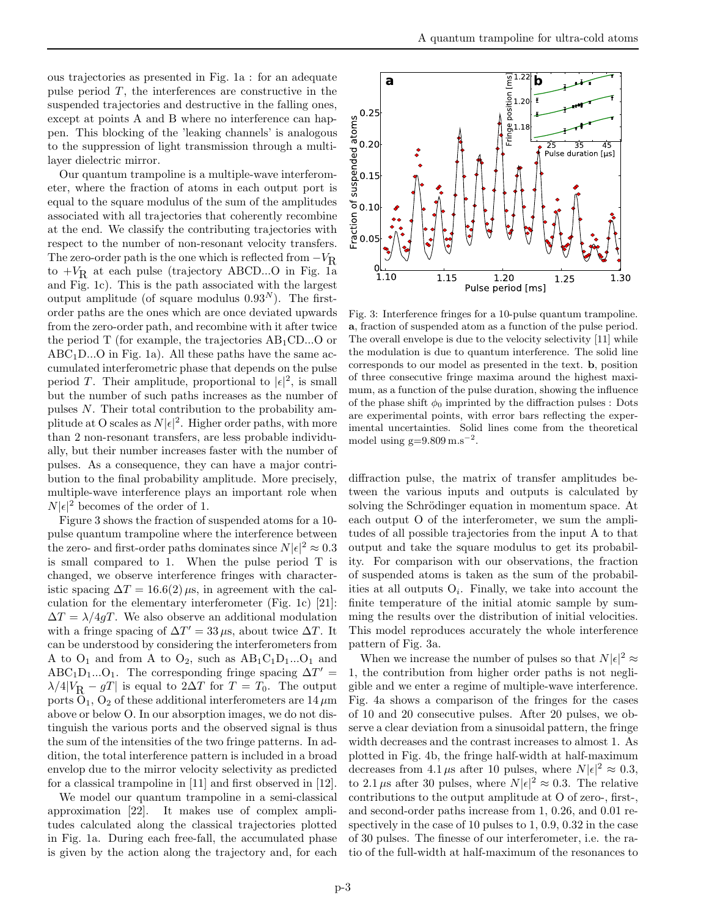ous trajectories as presented in Fig. 1a : for an adequate pulse period  $T$ , the interferences are constructive in the suspended trajectories and destructive in the falling ones, except at points A and B where no interference can happen. This blocking of the 'leaking channels' is analogous to the suppression of light transmission through a multilayer dielectric mirror.

Our quantum trampoline is a multiple-wave interferometer, where the fraction of atoms in each output port is equal to the square modulus of the sum of the amplitudes associated with all trajectories that coherently recombine at the end. We classify the contributing trajectories with respect to the number of non-resonant velocity transfers. The zero-order path is the one which is reflected from  $-V_R$ to  $+V_R$  at each pulse (trajectory ABCD...O in Fig. 1a and Fig. 1c). This is the path associated with the largest output amplitude (of square modulus  $0.93<sup>N</sup>$ ). The firstorder paths are the ones which are once deviated upwards from the zero-order path, and recombine with it after twice the period  $T$  (for example, the trajectories  $AB<sub>1</sub>CD...O$  or  $ABC_1D...O$  in Fig. 1a). All these paths have the same accumulated interferometric phase that depends on the pulse period T. Their amplitude, proportional to  $|\epsilon|^2$ , is small but the number of such paths increases as the number of pulses N. Their total contribution to the probability amplitude at O scales as  $N|\epsilon|^2$ . Higher order paths, with more than 2 non-resonant transfers, are less probable individually, but their number increases faster with the number of pulses. As a consequence, they can have a major contribution to the final probability amplitude. More precisely, multiple-wave interference plays an important role when  $N|\epsilon|^2$  becomes of the order of 1.

Figure 3 shows the fraction of suspended atoms for a 10 pulse quantum trampoline where the interference between the zero- and first-order paths dominates since  $N|\epsilon|^2 \approx 0.3$ is small compared to 1. When the pulse period T is changed, we observe interference fringes with characteristic spacing  $\Delta T = 16.6(2) \,\mu s$ , in agreement with the calculation for the elementary interferometer (Fig. 1c) [21]:  $\Delta T = \lambda/4qT$ . We also observe an additional modulation with a fringe spacing of  $\Delta T' = 33 \,\mu s$ , about twice  $\Delta T$ . It can be understood by considering the interferometers from A to  $O_1$  and from A to  $O_2$ , such as  $AB_1C_1D_1...O_1$  and  $ABC_1D_1...O_1$ . The corresponding fringe spacing  $\Delta T' =$  $\lambda/4|V_{\mathbf{R}} - gT|$  is equal to  $2\Delta T$  for  $T = T_0$ . The output ports  $\dot{O}_1$ ,  $O_2$  of these additional interferometers are 14  $\mu$ m above or below O. In our absorption images, we do not distinguish the various ports and the observed signal is thus the sum of the intensities of the two fringe patterns. In addition, the total interference pattern is included in a broad envelop due to the mirror velocity selectivity as predicted for a classical trampoline in [11] and first observed in [12].

We model our quantum trampoline in a semi-classical approximation [22]. It makes use of complex amplitudes calculated along the classical trajectories plotted in Fig. 1a. During each free-fall, the accumulated phase is given by the action along the trajectory and, for each



Fig. 3: Interference fringes for a 10-pulse quantum trampoline. a, fraction of suspended atom as a function of the pulse period. The overall envelope is due to the velocity selectivity [11] while the modulation is due to quantum interference. The solid line corresponds to our model as presented in the text. b, position of three consecutive fringe maxima around the highest maximum, as a function of the pulse duration, showing the influence of the phase shift  $\phi_0$  imprinted by the diffraction pulses : Dots are experimental points, with error bars reflecting the experimental uncertainties. Solid lines come from the theoretical model using  $g=9.809 \text{ m.s}^{-2}$ .

diffraction pulse, the matrix of transfer amplitudes between the various inputs and outputs is calculated by solving the Schrödinger equation in momentum space. At each output O of the interferometer, we sum the amplitudes of all possible trajectories from the input A to that output and take the square modulus to get its probability. For comparison with our observations, the fraction of suspended atoms is taken as the sum of the probabilities at all outputs  $O_i$ . Finally, we take into account the finite temperature of the initial atomic sample by summing the results over the distribution of initial velocities. This model reproduces accurately the whole interference pattern of Fig. 3a.

When we increase the number of pulses so that  $N|\epsilon|^2 \approx$ 1, the contribution from higher order paths is not negligible and we enter a regime of multiple-wave interference. Fig. 4a shows a comparison of the fringes for the cases of 10 and 20 consecutive pulses. After 20 pulses, we observe a clear deviation from a sinusoidal pattern, the fringe width decreases and the contrast increases to almost 1. As plotted in Fig. 4b, the fringe half-width at half-maximum decreases from 4.1  $\mu$ s after 10 pulses, where  $N|\epsilon|^2 \approx 0.3$ , to 2.1  $\mu$ s after 30 pulses, where  $N|\epsilon|^2 \approx 0.3$ . The relative contributions to the output amplitude at O of zero-, first-, and second-order paths increase from 1, 0.26, and 0.01 respectively in the case of 10 pulses to 1, 0.9, 0.32 in the case of 30 pulses. The finesse of our interferometer, i.e. the ratio of the full-width at half-maximum of the resonances to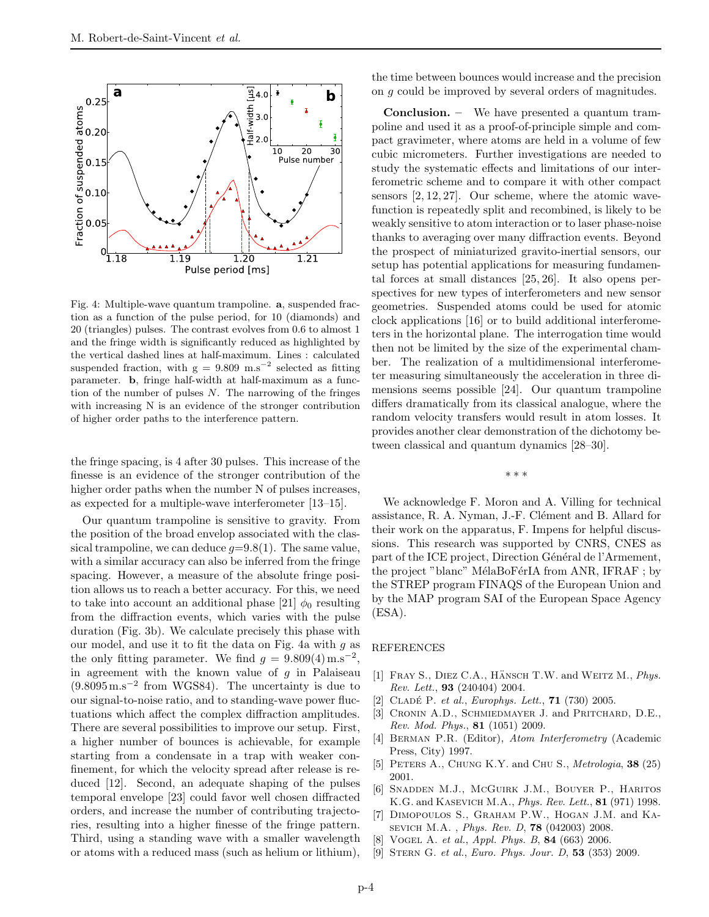

Fig. 4: Multiple-wave quantum trampoline. a, suspended fraction as a function of the pulse period, for 10 (diamonds) and 20 (triangles) pulses. The contrast evolves from 0.6 to almost 1 and the fringe width is significantly reduced as highlighted by the vertical dashed lines at half-maximum. Lines : calculated suspended fraction, with  $g = 9.809$  m.s<sup>-2</sup> selected as fitting parameter. b, fringe half-width at half-maximum as a function of the number of pulses  $N$ . The narrowing of the fringes with increasing N is an evidence of the stronger contribution of higher order paths to the interference pattern.

the fringe spacing, is 4 after 30 pulses. This increase of the finesse is an evidence of the stronger contribution of the higher order paths when the number N of pulses increases, as expected for a multiple-wave interferometer [13–15].

Our quantum trampoline is sensitive to gravity. From the position of the broad envelop associated with the classical trampoline, we can deduce  $q=9.8(1)$ . The same value, with a similar accuracy can also be inferred from the fringe spacing. However, a measure of the absolute fringe position allows us to reach a better accuracy. For this, we need to take into account an additional phase [21]  $\phi_0$  resulting from the diffraction events, which varies with the pulse duration (Fig. 3b). We calculate precisely this phase with our model, and use it to fit the data on Fig. 4a with  $q$  as the only fitting parameter. We find  $g = 9.809(4) \text{ m.s}^{-2}$ , in agreement with the known value of  $q$  in Palaiseau (9.8095m.s<sup>−</sup><sup>2</sup> from WGS84). The uncertainty is due to our signal-to-noise ratio, and to standing-wave power fluctuations which affect the complex diffraction amplitudes. There are several possibilities to improve our setup. First, a higher number of bounces is achievable, for example starting from a condensate in a trap with weaker confinement, for which the velocity spread after release is reduced [12]. Second, an adequate shaping of the pulses temporal envelope [23] could favor well chosen diffracted orders, and increase the number of contributing trajectories, resulting into a higher finesse of the fringe pattern. Third, using a standing wave with a smaller wavelength or atoms with a reduced mass (such as helium or lithium),

the time between bounces would increase and the precision on g could be improved by several orders of magnitudes.

Conclusion. – We have presented a quantum trampoline and used it as a proof-of-principle simple and compact gravimeter, where atoms are held in a volume of few cubic micrometers. Further investigations are needed to study the systematic effects and limitations of our interferometric scheme and to compare it with other compact sensors [2, 12, 27]. Our scheme, where the atomic wavefunction is repeatedly split and recombined, is likely to be weakly sensitive to atom interaction or to laser phase-noise thanks to averaging over many diffraction events. Beyond the prospect of miniaturized gravito-inertial sensors, our setup has potential applications for measuring fundamental forces at small distances [25, 26]. It also opens perspectives for new types of interferometers and new sensor geometries. Suspended atoms could be used for atomic clock applications [16] or to build additional interferometers in the horizontal plane. The interrogation time would then not be limited by the size of the experimental chamber. The realization of a multidimensional interferometer measuring simultaneously the acceleration in three dimensions seems possible [24]. Our quantum trampoline differs dramatically from its classical analogue, where the random velocity transfers would result in atom losses. It provides another clear demonstration of the dichotomy between classical and quantum dynamics [28–30].

∗ ∗ ∗

We acknowledge F. Moron and A. Villing for technical assistance, R. A. Nyman, J.-F. Clément and B. Allard for their work on the apparatus, F. Impens for helpful discussions. This research was supported by CNRS, CNES as part of the ICE project, Direction Général de l'Armement, the project "blanc" MélaBoFérIA from ANR, IFRAF ; by the STREP program FINAQS of the European Union and by the MAP program SAI of the European Space Agency  $(ESA).$ 

## REFERENCES

- [1] FRAY S., DIEZ C.A., HÄNSCH T.W. and WEITZ M., Phys. Rev. Lett., 93 (240404) 2004.
- [2] CLADÉ P. et al., Europhys. Lett., **71** (730) 2005.
- [3] CRONIN A.D., SCHMIEDMAYER J. and PRITCHARD, D.E., Rev. Mod. Phys., 81 (1051) 2009.
- [4] Berman P.R. (Editor), Atom Interferometry (Academic Press, City) 1997.
- [5] PETERS A., CHUNG K.Y. and CHU S., Metrologia, 38 (25) 2001.
- [6] Snadden M.J., McGuirk J.M., Bouyer P., Haritos K.G. and KASEVICH M.A., *Phys. Rev. Lett.*, **81** (971) 1998.
- [7] Dimopoulos S., Graham P.W., Hogan J.M. and Kasevich M.A. , Phys. Rev. D, 78 (042003) 2008.
- [8] VOGEL A. et al., Appl. Phys. B, 84 (663) 2006.
- [9] STERN G. et al., Euro. Phys. Jour. D, 53 (353) 2009.